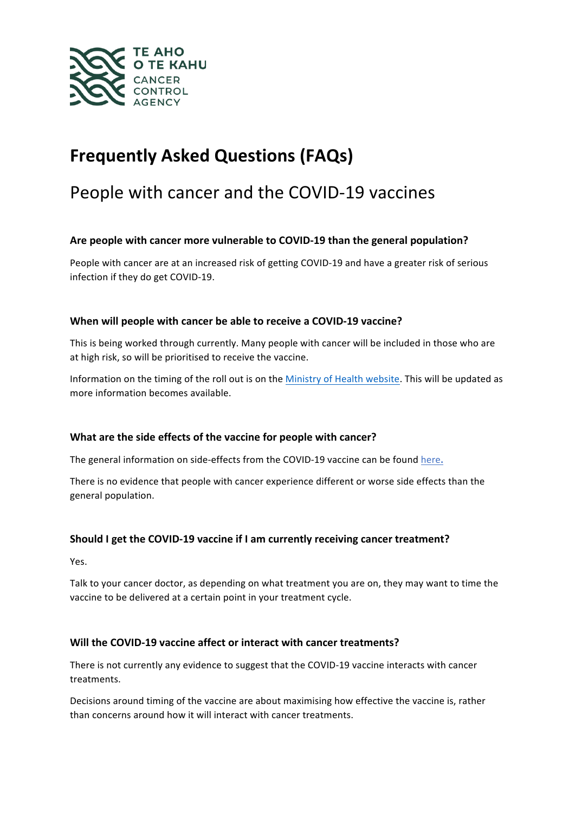

# **Frequently Asked Questions (FAQs)**

## People with cancer and the COVID-19 vaccines

#### Are people with cancer more vulnerable to COVID-19 than the general population?

People with cancer are at an increased risk of getting COVID-19 and have a greater risk of serious infection if they do get COVID-19.

#### **When will people with cancer be able to receive a COVID-19 vaccine?**

This is being worked through currently. Many people with cancer will be included in those who are at high risk, so will be prioritised to receive the vaccine.

Information on the timing of the roll out is on the Ministry of Health website. This will be updated as more information becomes available.

#### What are the side effects of the vaccine for people with cancer?

The general information on side-effects from the COVID-19 vaccine can be found here.

There is no evidence that people with cancer experience different or worse side effects than the general population. 

#### **Should I get the COVID-19 vaccine if I am currently receiving cancer treatment?**

Yes. 

Talk to your cancer doctor, as depending on what treatment you are on, they may want to time the vaccine to be delivered at a certain point in your treatment cycle.

#### Will the COVID-19 vaccine affect or interact with cancer treatments?

There is not currently any evidence to suggest that the COVID-19 vaccine interacts with cancer treatments. 

Decisions around timing of the vaccine are about maximising how effective the vaccine is, rather than concerns around how it will interact with cancer treatments.